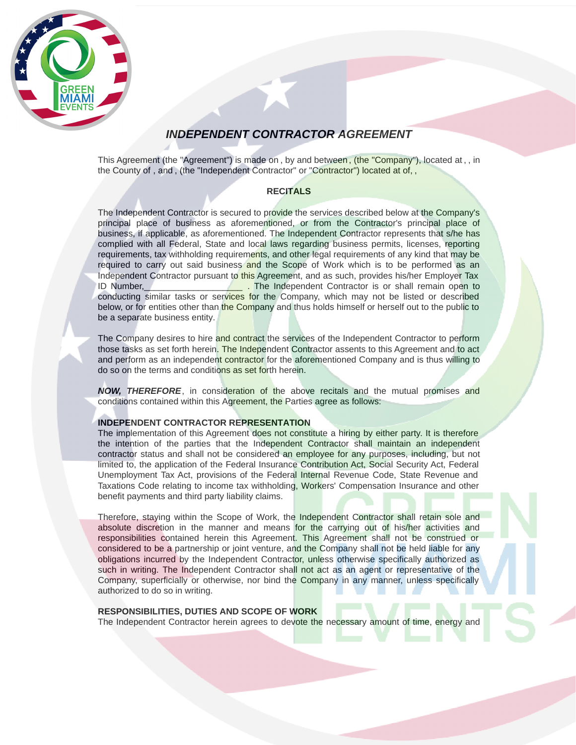

# INDEPENDENT CONTRACTOR AGREEMENT

This Agreement (the "Agreement") is made on, by and between, (the "Company"), located at,, in the County of, and, (the "Independent Contractor" or "Contractor") located at of,,

## **RECITALS**

The Independent Contractor is secured to provide the services described below at the Company's principal place of business as aforementioned, or from the Contractor's principal place of business, if applicable, as aforementioned. The Independent Contractor represents that s/he has complied with all Federal, State and local laws regarding business permits, licenses, reporting requirements, tax withholding requirements, and other legal requirements of any kind that may be required to carry out said business and the Scope of Work which is to be performed as an Independent Contractor pursuant to this Agreement, and as such, provides his/her Employer Tax ID Number, The Independent Contractor is or shall remain open to conducting similar tasks or services for the Company, which may not be listed or described below, or for entities other than the Company and thus holds himself or herself out to the public to be a separate business entity.

The Company desires to hire and contract the services of the Independent Contractor to perform those tasks as set forth herein. The Independent Contractor assents to this Agreement and to act and perform as an independent contractor for the aforementioned Company and is thus willing to do so on the terms and conditions as set forth herein.

NOW, THEREFORE, in consideration of the above recitals and the mutual promises and conditions contained within this Agreement, the Parties agree as follows:

## INDEPENDENT CONTRACTOR REPRESENTATION

The implementation of this Agreement does not constitute a hiring by either party. It is therefore the intention of the parties that the Independent Contractor shall maintain an independent contractor status and shall not be considered an employee for any purposes, including, but not limited to, the application of the Federal Insurance Contribution Act, Social Security Act, Federal Unemployment Tax Act, provisions of the Federal Internal Revenue Code, State Revenue and Taxations Code relating to income tax withholding, Workers' Compensation Insurance and other benefit payments and third party liability claims.

Therefore, staying within the Scope of Work, the Independent Contractor shall retain sole and absolute discretion in the manner and means for the carrying out of his/her activities and responsibilities contained herein this Agreement. This Agreement shall not be construed or considered to be a partnership or joint venture, and the Company shall not be held liable for any obligations incurred by the Independent Contractor, unless otherwise specifically authorized as such in writing. The Independent Contractor shall not act as an agent or representative of the Company, superficially or otherwise, nor bind the Company in any manner, unless specifically authorized to do so in writing.

## RESPONSIBILITIES, DUTIES AND SCOPE OF WORK

The Independent Contractor herein agrees to devote the necessary amount of time, energy and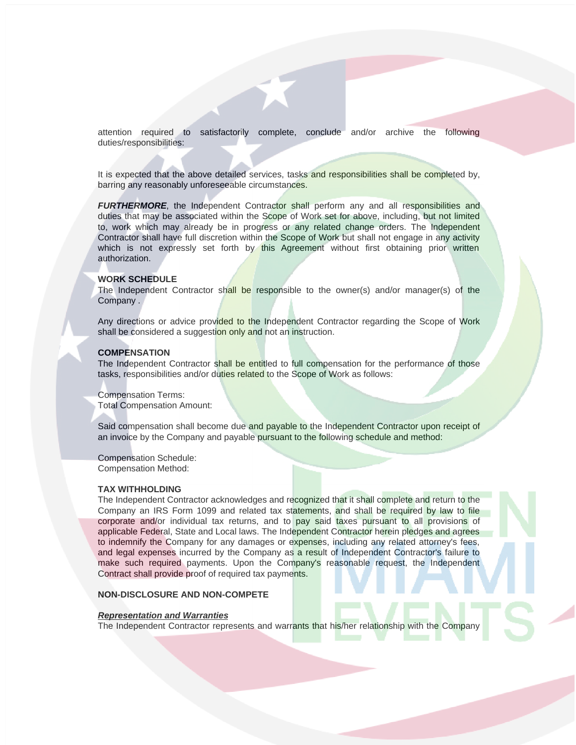attention required to satisfactorily complete, conclude and/or archive the following duties/responsibilities:

It is expected that the above detailed services, tasks and responsibilities shall be completed by, barring any reasonably unforeseeable circumstances.

FURTHERMORE, the Independent Contractor shall perform any and all responsibilities and duties that may be associated within the Scope of Work set for above, including, but not limited to, work which may already be in progress or any related change orders. The Independent Contractor shall have full discretion within the Scope of Work but shall not engage in any activity which is not expressly set forth by this Agreement without first obtaining prior written authorization.

## WORK SCHEDULE

The Independent Contractor shall be responsible to the owner(s) and/or manager(s) of the Company .

Any directions or advice provided to the Independent Contractor regarding the Scope of Work shall be considered a suggestion only and not an instruction.

#### **COMPENSATION**

The Independent Contractor shall be entitled to full compensation for the performance of those tasks, responsibilities and/or duties related to the Scope of Work as follows:

Compensation Terms: Total Compensation Amount:

Said compensation shall become due and payable to the Independent Contractor upon receipt of an invoice by the Company and payable pursuant to the following schedule and method:

Compensation Schedule: Compensation Method:

#### TAX WITHHOLDING

The Independent Contractor acknowledges and recognized that it shall complete and return to the Company an IRS Form 1099 and related tax statements, and shall be required by law to file corporate and/or individual tax returns, and to pay said taxes pursuant to all provisions of applicable Federal, State and Local laws. The Independent Contractor herein pledges and agrees to indemnify the Company for any damages or expenses, including any related attorney's fees, and legal expenses incurred by the Company as a result of Independent Contractor's failure to make such required payments. Upon the Company's reasonable request, the Independent Contract shall provide proof of required tax payments.

## NON-DISCLOSURE AND NON-COMPETE

#### Representation and Warranties

The Independent Contractor represents and warrants that his/her relationship with the Company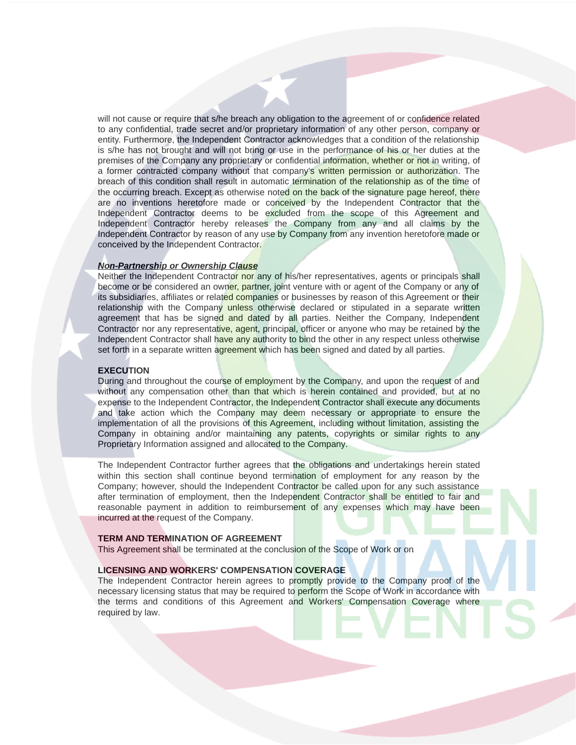will not cause or require that s/he breach any obligation to the agreement of or confidence related to any confidential, trade secret and/or proprietary information of any other person, company or entity. Furthermore, the Independent Contractor acknowledges that a condition of the relationship is s/he has not brought and will not bring or use in the performance of his or her duties at the premises of the Company any proprietary or confidential information, whether or not in writing, of a former contracted company without that company's written permission or authorization. The breach of this condition shall result in automatic termination of the relationship as of the time of the occurring breach. Except as otherwise noted on the back of the signature page hereof, there are no inventions heretofore made or conceived by the Independent Contractor that the Independent Contractor deems to be excluded from the scope of this Agreement and Independent Contractor hereby releases the Company from any and all claims by the Independent Contractor by reason of any use by Company from any invention heretofore made or conceived by the Independent Contractor.

#### Non-Partnership or Ownership Clause

Neither the Independent Contractor nor any of his/her representatives, agents or principals shall become or be considered an owner, partner, joint venture with or agent of the Company or any of its subsidiaries, affiliates or related companies or businesses by reason of this Agreement or their relationship with the Company unless otherwise declared or stipulated in a separate written agreement that has be signed and dated by all parties. Neither the Company, Independent Contractor nor any representative, agent, principal, officer or anyone who may be retained by the Independent Contractor shall have any authority to bind the other in any respect unless otherwise set forth in a separate written agreement which has been signed and dated by all parties.

#### **EXECUTION**

During and throughout the course of employment by the Company, and upon the request of and without any compensation other than that which is herein contained and provided, but at no expense to the Independent Contractor, the Independent Contractor shall execute any documents and take action which the Company may deem necessary or appropriate to ensure the implementation of all the provisions of this Agreement, including without limitation, assisting the Company in obtaining and/or maintaining any patents, copyrights or similar rights to any Proprietary Information assigned and allocated to the Company.

The Independent Contractor further agrees that the obligations and undertakings herein stated within this section shall continue beyond termination of employment for any reason by the Company; however, should the Independent Contractor be called upon for any such assistance after termination of employment, then the Independent Contractor shall be entitled to fair and reasonable payment in addition to reimbursement of any expenses which may have been incurred at the request of the Company.

#### TERM AND TERMINATION OF AGREEMENT

This Agreement shall be terminated at the conclusion of the Scope of Work or on

## LICENSING AND WORKERS' COMPENSATION COVERAGE

The Independent Contractor herein agrees to promptly provide to the Company proof of the necessary licensing status that may be required to perform the Scope of Work in accordance with the terms and conditions of this Agreement and Workers' Compensation Coverage where required by law.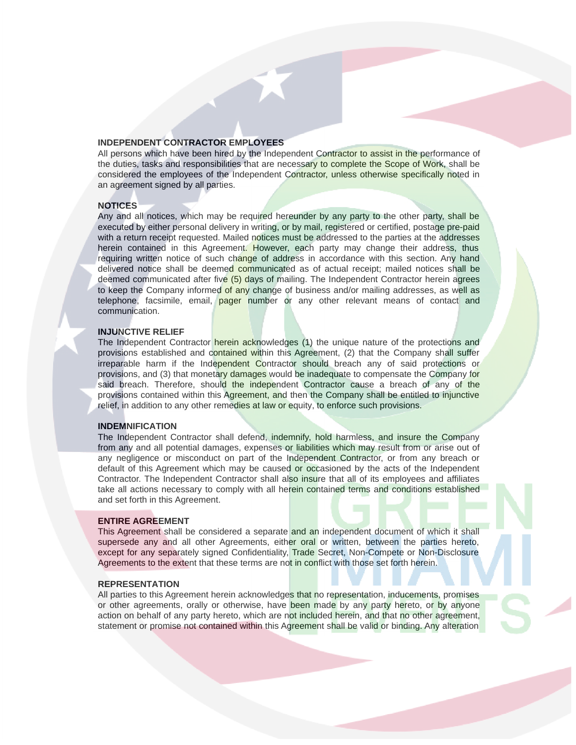## INDEPENDENT CONTRACTOR EMPLOYEES

All persons which have been hired by the Independent Contractor to assist in the performance of the duties, tasks and responsibilities that are necessary to complete the Scope of Work, shall be considered the employees of the Independent Contractor, unless otherwise specifically noted in an agreement signed by all parties.

#### **NOTICES**

Any and all notices, which may be required hereunder by any party to the other party, shall be executed by either personal delivery in writing, or by mail, registered or certified, postage pre-paid with a return receipt requested. Mailed notices must be addressed to the parties at the addresses herein contained in this Agreement. However, each party may change their address, thus requiring written notice of such change of address in accordance with this section. Any hand delivered notice shall be deemed communicated as of actual receipt; mailed notices shall be deemed communicated after five (5) days of mailing. The Independent Contractor herein agrees to keep the Company informed of any change of business and/or mailing addresses, as well as telephone, facsimile, email, pager number or any other relevant means of contact and communication.

#### INJUNCTIVE RELIEF

The Independent Contractor herein acknowledges (1) the unique nature of the protections and provisions established and contained within this Agreement, (2) that the Company shall suffer irreparable harm if the Independent Contractor should breach any of said protections or provisions, and (3) that monetary damages would be inadequate to compensate the Company for said breach. Therefore, should the independent Contractor cause a breach of any of the provisions contained within this Agreement, and then the Company shall be entitled to injunctive relief, in addition to any other remedies at law or equity, to enforce such provisions.

#### INDEMNIFICATION

The Independent Contractor shall defend, indemnify, hold harmless, and insure the Company from any and all potential damages, expenses or liabilities which may result from or arise out of any negligence or misconduct on part of the Independent Contractor, or from any breach or default of this Agreement which may be caused or occasioned by the acts of the Independent Contractor. The Independent Contractor shall also insure that all of its employees and affiliates take all actions necessary to comply with all herein contained terms and conditions established and set forth in this Agreement.

#### ENTIRE AGREEMENT

This Agreement shall be considered a separate and an independent document of which it shall supersede any and all other Agreements, either oral or written, between the parties hereto, except for any separately signed Confidentiality, Trade Secret, Non-Compete or Non-Disclosure Agreements to the extent that these terms are not in conflict with those set forth herein.

## REPRESENTATION

All parties to this Agreement herein acknowledges that no representation, inducements, promises or other agreements, orally or otherwise, have been made by any party hereto, or by anyone action on behalf of any party hereto, which are not included herein, and that no other agreement, statement or promise not contained within this Agreement shall be valid or binding. Any alteration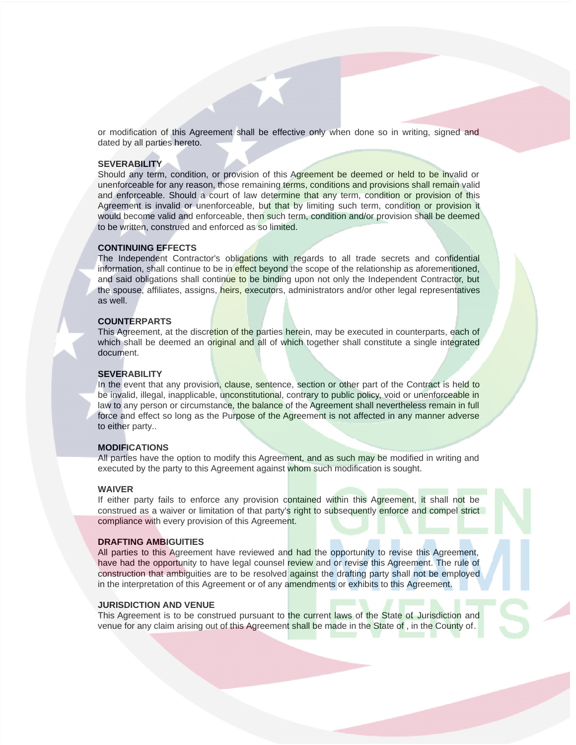or modification of this Agreement shall be effective only when done so in writing, signed and dated by all parties hereto.

#### **SEVERABILITY**

Should any term, condition, or provision of this Agreement be deemed or held to be invalid or unenforceable for any reason, those remaining terms, conditions and provisions shall remain valid and enforceable. Should a court of law determine that any term, condition or provision of this Agreement is invalid or unenforceable, but that by limiting such term, condition or provision it would become valid and enforceable, then such term, condition and/or provision shall be deemed to be written, construed and enforced as so limited.

#### CONTINUING EFFECTS

The Independent Contractor's obligations with regards to all trade secrets and confidential information, shall continue to be in effect beyond the scope of the relationship as aforementioned, and said obligations shall continue to be binding upon not only the Independent Contractor, but the spouse, affiliates, assigns, *heirs*, executors, administrators and/or other legal representatives as well.

## COUNTERPARTS

This Agreement, at the discretion of the parties herein, may be executed in counterparts, each of which shall be deemed an original and all of which together shall constitute a single integrated document.

## **SEVERABILITY**

In the event that any provision, clause, sentence, section or other part of the Contract is held to be invalid, illegal, inapplicable, unconstitutional, contrary to public policy, yoid or unenforceable in law to any person or circumstance, the balance of the Agreement shall nevertheless remain in full force and effect so long as the Purpose of the Agreement is not affected in any manner adverse to either party..

#### **MODIFICATIONS**

All parties have the option to modify this Agreement, and as such may be modified in writing and executed by the party to this Agreement against whom such modification is sought.

#### WAIVER

If either party fails to enforce any provision contained within this Agreement, it shall not be construed as a waiver or limitation of that party's right to subsequently enforce and compel strict compliance with every provision of this Agreement.

#### DRAFTING AMBIGUITIES

All parties to this Agreement have reviewed and had the opportunity to revise this Agreement, have had the opportunity to have legal counsel review and or revise this Agreement. The rule of construction that ambiguities are to be resolved against the drafting party shall not be employed in the interpretation of this Agreement or of any amendments or exhibits to this Agreement.

## JURISDICTION AND VENUE

This Agreement is to be construed pursuant to the current laws of the State of Jurisdiction and venue for any claim arising out of this Agreement shall be made in the State of, in the County of.